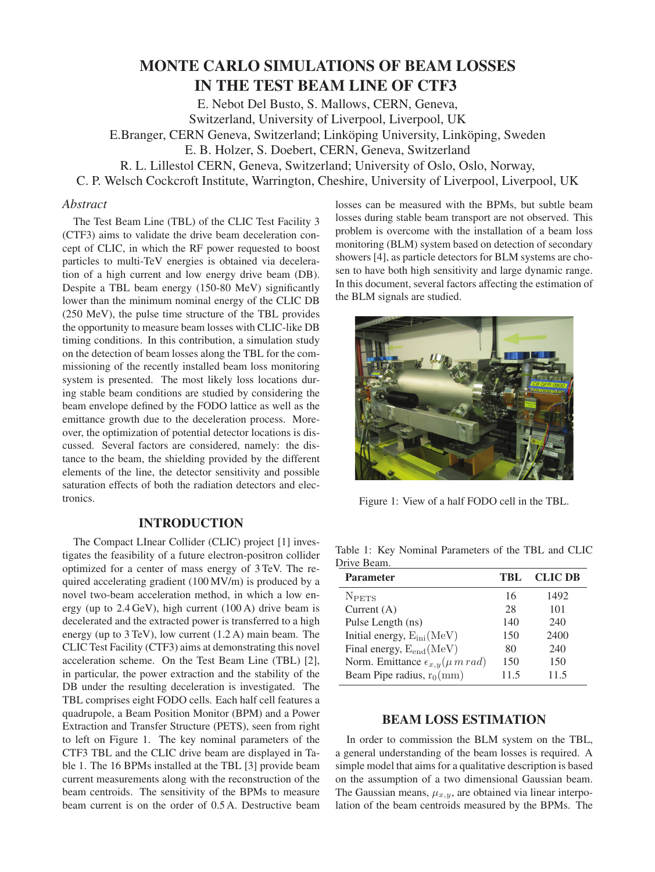# **MONTE CARLO SIMULATIONS OF BEAM LOSSES** IN THE TEST BEAM LINE OF CTF3

E. Nebot Del Busto, S. Mallows, CERN, Geneva, Switzerland, University of Liverpool, Liverpool, UK E.Branger, CERN Geneva, Switzerland; Linköping University, Linköping, Sweden E. B. Holzer, S. Doebert, CERN, Geneva, Switzerland R. L. Lillestol CERN, Geneva, Switzerland; University of Oslo, Oslo, Norway, C. P. Welsch Cockcroft Institute, Warrington, Cheshire, University of Liverpool, Liverpool, UK

## *Abstract*

The Test Beam Line (TBL) of the CLIC Test Facility 3 (CTF3) aims to validate the drive beam deceleration concept of CLIC, in which the RF power requested to boost particles to multi-TeV energies is obtained via deceleration of a high current and low energy drive beam (DB). Despite a TBL beam energy (150-80 MeV) significantly lower than the minimum nominal energy of the CLIC DB (250 MeV), the pulse time structure of the TBL provides the opportunity to measure beam losses with CLIC-like DB timing conditions. In this contribution, a simulation study on the detection of beam losses along the TBL for the commissioning of the recently installed beam loss monitoring system is presented. The most likely loss locations during stable beam conditions are studied by considering the beam envelope defined by the FODO lattice as well as the emittance growth due to the deceleration process. Moreover, the optimization of potential detector locations is discussed. Several factors are considered, namely: the distance to the beam, the shielding provided by the different elements of the line, the detector sensitivity and possible saturation effects of both the radiation detectors and electronics.

The Compact LInear Collider (CLIC) project [1] investigates the feasibility of a future electron-positron collider optimized for a center of mass energy of 3 TeV. The required accelerating gradient (100 MV/m) is produced by a novel two-beam acceleration method, in which a low energy (up to 2.4 GeV), high current (100 A) drive beam is decelerated and the extracted power is transferred to a high energy (up to 3 TeV), low current (1.2 A) main beam. The CLIC Test Facility (CTF3) aims at demonstrating this novel acceleration scheme. On the Test Beam Line (TBL) [2], in particular, the power extraction and the stability of the DB under the resulting deceleration is investigated. The TBL comprises eight FODO cells. Each half cell features a quadrupole, a Beam Position Monitor (BPM) and a Power Extraction and Transfer Structure (PETS), seen from right to left on Figure 1. The key nominal parameters of the CTF3 TBL and the CLIC drive beam are displayed in Table 1. The 16 BPMs installed at the TBL [3] provide beam current measurements along with the reconstruction of the beam centroids. The sensitivity of the BPMs to measure beam current is on the order of 0.5 A. Destructive beam losses can be measured with the BPMs, but subtle beam losses during stable beam transport are not observed. This problem is overcome with the installation of a beam loss monitoring (BLM) system based on detection of secondary showers [4], as particle detectors for BLM systems are chosen to have both high sensitivity and large dynamic range. In this document, several factors affecting the estimation of the BLM signals are studied.



Figure 1: View of a half FODO cell in the TBL.

Table 1: Key Nominal Parameters of the TBL and CLIC Drive Beam.

| <b>Parameter</b>                                  | TBL | <b>CLIC DB</b> |
|---------------------------------------------------|-----|----------------|
| <b>NPETS</b>                                      | 16  | 1492           |
| Current $(A)$                                     | 28  | 101            |
| Pulse Length (ns)                                 | 140 | 240            |
| Initial energy, $E_{\text{ini}}(\text{MeV})$      | 150 | 2400           |
| Final energy, $E_{end}(MeV)$                      | 80  | 240            |
| Norm. Emittance $\epsilon_{x,y}(\mu \, m \, rad)$ | 150 | 150            |
| Beam Pipe radius, $r_0$ (mm)                      | 115 | 11.5           |

In order to commission the BLM system on the TBL, a general understanding of the beam losses is required. A simple model that aims for a qualitative description is based on the assumption of a two dimensional Gaussian beam. The Gaussian means,  $\mu_{x,y}$ , are obtained via linear interpolation of the beam centroids measured by the BPMs. The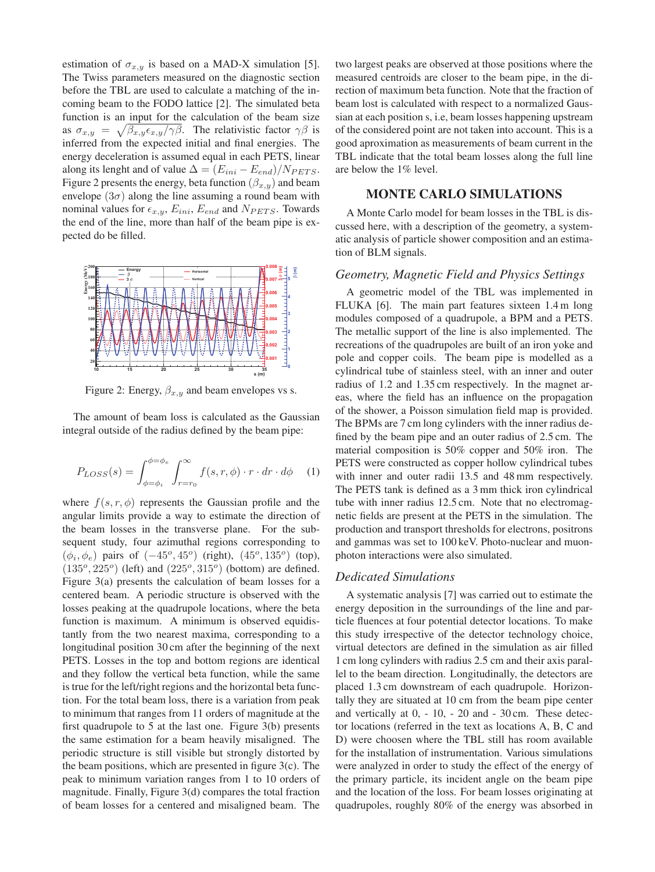estimation of  $\sigma_{x,y}$  is based on a MAD-X simulation [5]. The Twiss parameters measured on the diagnostic section before the TBL are used to calculate a matching of the incoming beam to the FODO lattice [2]. The simulated beta function is an input for the calculation of the beam size as  $\sigma_{x,y} = \sqrt{\beta_{x,y} \epsilon_{x,y}/\gamma \beta}$ . The relativistic factor  $\gamma \beta$  is inferred from the expected initial and final energies. The energy deceleration is assumed equal in each PETS, linear along its lenght and of value  $\Delta = (E_{ini} - E_{end})/N_{PETS}$ . Figure 2 presents the energy, beta function  $(\beta_{x,y})$  and beam envelope  $(3\sigma)$  along the line assuming a round beam with nominal values for  $\epsilon_{x,y}$ ,  $E_{ini}$ ,  $E_{end}$  and  $N_{PETS}$ . Towards the end of the line, more than half of the beam pipe is expected do be filled.



Figure 2: Energy,  $\beta_{x,y}$  and beam envelopes vs s.

The amount of beam loss is calculated as the Gaussian integral outside of the radius defined by the beam pipe:

$$
P_{LOSS}(s) = \int_{\phi=\phi_i}^{\phi=\phi_e} \int_{r=r_0}^{\infty} f(s, r, \phi) \cdot r \cdot dr \cdot d\phi \quad (1)
$$

where  $f(s, r, \phi)$  represents the Gaussian profile and the angular limits provide a way to estimate the direction of the beam losses in the transverse plane. For the subsequent study, four azimuthal regions corresponding to  $(\phi_i, \phi_e)$  pairs of  $(-45^{\circ}, 45^{\circ})$  (right),  $(45^{\circ}, 135^{\circ})$  (top),  $(135^\circ, 225^\circ)$  (left) and  $(225^\circ, 315^\circ)$  (bottom) are defined. Figure 3(a) presents the calculation of beam losses for a centered beam. A periodic structure is observed with the losses peaking at the quadrupole locations, where the beta function is maximum. A minimum is observed equidistantly from the two nearest maxima, corresponding to a longitudinal position 30 cm after the beginning of the next PETS. Losses in the top and bottom regions are identical and they follow the vertical beta function, while the same is true for the left/right regions and the horizontal beta function. For the total beam loss, there is a variation from peak to minimum that ranges from 11 orders of magnitude at the first quadrupole to 5 at the last one. Figure 3(b) presents the same estimation for a beam heavily misaligned. The periodic structure is still visible but strongly distorted by the beam positions, which are presented in figure 3(c). The peak to minimum variation ranges from 1 to 10 orders of magnitude. Finally, Figure 3(d) compares the total fraction of beam losses for a centered and misaligned beam. The

two largest peaks are observed at those positions where the measured centroids are closer to the beam pipe, in the direction of maximum beta function. Note that the fraction of beam lost is calculated with respect to a normalized Gaussian at each position s, i.e, beam losses happening upstream of the considered point are not taken into account. This is a good aproximation as measurements of beam current in the TBL indicate that the total beam losses along the full line are below the 1% level.

A Monte Carlo model for beam losses in the TBL is discussed here, with a description of the geometry, a systematic analysis of particle shower composition and an estimation of BLM signals.

### *Geometry, Magnetic Field and Physics Settings*

A geometric model of the TBL was implemented in FLUKA [6]. The main part features sixteen 1.4 m long modules composed of a quadrupole, a BPM and a PETS. The metallic support of the line is also implemented. The recreations of the quadrupoles are built of an iron yoke and pole and copper coils. The beam pipe is modelled as a cylindrical tube of stainless steel, with an inner and outer radius of 1.2 and 1.35 cm respectively. In the magnet areas, where the field has an influence on the propagation of the shower, a Poisson simulation field map is provided. The BPMs are 7 cm long cylinders with the inner radius defined by the beam pipe and an outer radius of 2.5 cm. The material composition is 50% copper and 50% iron. The PETS were constructed as copper hollow cylindrical tubes with inner and outer radii 13.5 and 48 mm respectively. The PETS tank is defined as a 3 mm thick iron cylindrical tube with inner radius 12.5 cm. Note that no electromagnetic fields are present at the PETS in the simulation. The production and transport thresholds for electrons, positrons and gammas was set to 100 keV. Photo-nuclear and muonphoton interactions were also simulated.

### *Dedicated Simulations*

A systematic analysis [7] was carried out to estimate the energy deposition in the surroundings of the line and particle fluences at four potential detector locations. To make this study irrespective of the detector technology choice, virtual detectors are defined in the simulation as air filled 1 cm long cylinders with radius 2.5 cm and their axis parallel to the beam direction. Longitudinally, the detectors are placed 1.3 cm downstream of each quadrupole. Horizontally they are situated at 10 cm from the beam pipe center and vertically at 0, - 10, - 20 and - 30 cm. These detector locations (referred in the text as locations A, B, C and D) were choosen where the TBL still has room available for the installation of instrumentation. Various simulations were analyzed in order to study the effect of the energy of the primary particle, its incident angle on the beam pipe and the location of the loss. For beam losses originating at quadrupoles, roughly 80% of the energy was absorbed in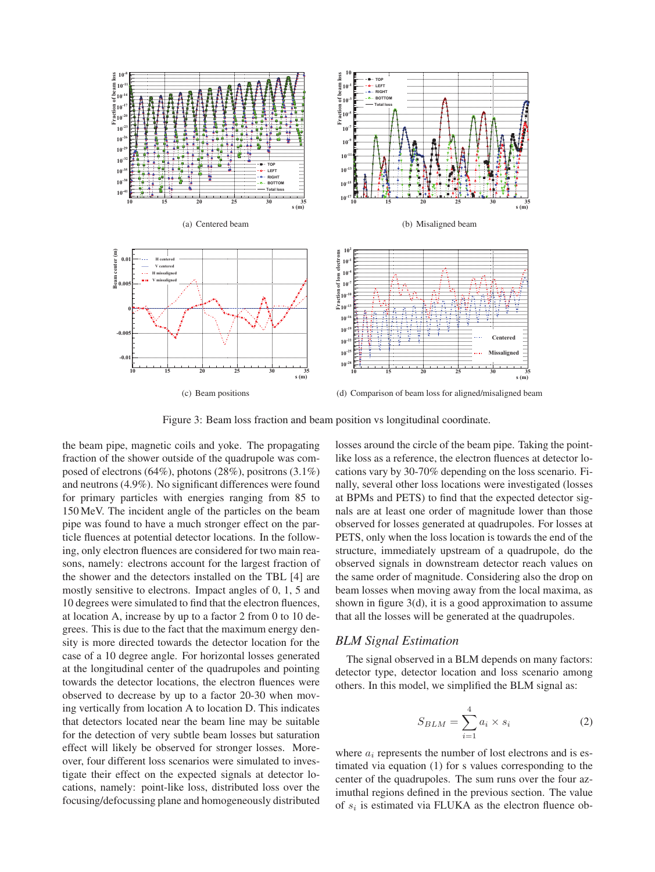

Figure 3: Beam loss fraction and beam position vs longitudinal coordinate.

the beam pipe, magnetic coils and yoke. The propagating fraction of the shower outside of the quadrupole was composed of electrons (64%), photons (28%), positrons (3.1%) and neutrons (4.9%). No significant differences were found for primary particles with energies ranging from 85 to 150 MeV. The incident angle of the particles on the beam pipe was found to have a much stronger effect on the particle fluences at potential detector locations. In the following, only electron fluences are considered for two main reasons, namely: electrons account for the largest fraction of the shower and the detectors installed on the TBL [4] are mostly sensitive to electrons. Impact angles of 0, 1, 5 and 10 degrees were simulated to find that the electron fluences, at location A, increase by up to a factor 2 from 0 to 10 degrees. This is due to the fact that the maximum energy density is more directed towards the detector location for the case of a 10 degree angle. For horizontal losses generated at the longitudinal center of the quadrupoles and pointing towards the detector locations, the electron fluences were observed to decrease by up to a factor 20-30 when moving vertically from location A to location D. This indicates that detectors located near the beam line may be suitable for the detection of very subtle beam losses but saturation effect will likely be observed for stronger losses. Moreover, four different loss scenarios were simulated to investigate their effect on the expected signals at detector locations, namely: point-like loss, distributed loss over the focusing/defocussing plane and homogeneously distributed losses around the circle of the beam pipe. Taking the pointlike loss as a reference, the electron fluences at detector locations vary by 30-70% depending on the loss scenario. Finally, several other loss locations were investigated (losses at BPMs and PETS) to find that the expected detector signals are at least one order of magnitude lower than those observed for losses generated at quadrupoles. For losses at PETS, only when the loss location is towards the end of the structure, immediately upstream of a quadrupole, do the observed signals in downstream detector reach values on the same order of magnitude. Considering also the drop on beam losses when moving away from the local maxima, as shown in figure 3(d), it is a good approximation to assume that all the losses will be generated at the quadrupoles.

### *BLM Signal Estimation*

The signal observed in a BLM depends on many factors: detector type, detector location and loss scenario among others. In this model, we simplified the BLM signal as:

$$
S_{BLM} = \sum_{i=1}^{4} a_i \times s_i
$$
 (2)

where  $a_i$  represents the number of lost electrons and is estimated via equation (1) for s values corresponding to the center of the quadrupoles. The sum runs over the four azimuthal regions defined in the previous section. The value of  $s_i$  is estimated via FLUKA as the electron fluence ob-